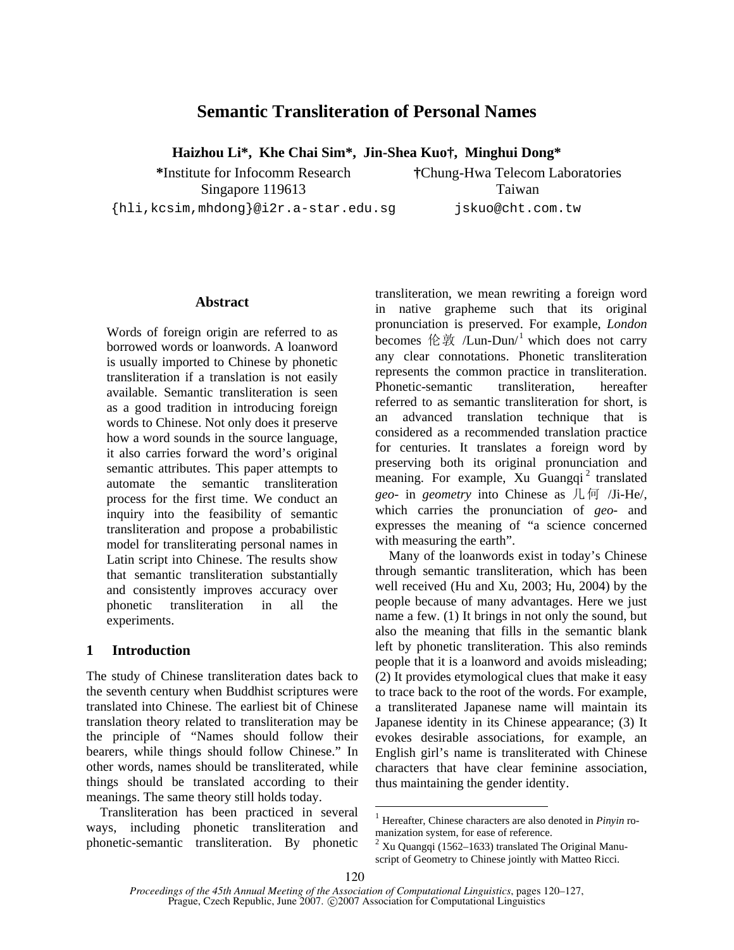# **Semantic Transliteration of Personal Names**

**Haizhou Li\*, Khe Chai Sim\*, Jin-Shea Kuo†, Minghui Dong\*** 

**\***Institute for Infocomm Research Singapore 119613

{hli,kcsim,mhdong}@i2r.a-star.edu.sg

**†**Chung-Hwa Telecom Laboratories Taiwan jskuo@cht.com.tw

## **Abstract**

Words of foreign origin are referred to as borrowed words or loanwords. A loanword is usually imported to Chinese by phonetic transliteration if a translation is not easily available. Semantic transliteration is seen as a good tradition in introducing foreign words to Chinese. Not only does it preserve how a word sounds in the source language, it also carries forward the word's original semantic attributes. This paper attempts to automate the semantic transliteration process for the first time. We conduct an inquiry into the feasibility of semantic transliteration and propose a probabilistic model for transliterating personal names in Latin script into Chinese. The results show that semantic transliteration substantially and consistently improves accuracy over phonetic transliteration in all the experiments.

# **1 Introduction**

The study of Chinese transliteration dates back to the seventh century when Buddhist scriptures were translated into Chinese. The earliest bit of Chinese translation theory related to transliteration may be the principle of "Names should follow their bearers, while things should follow Chinese." In other words, names should be transliterated, while things should be translated according to their meanings. The same theory still holds today.

Transliteration has been practiced in several ways, including phonetic transliteration and phonetic-semantic transliteration. By phonetic transliteration, we mean rewriting a foreign word in native grapheme such that its original pronunciation is preserved. For example, *London* becomes 伦敦 /Lun-Dun/<sup>1</sup> which does not carry any clear connotations. Phonetic transliteration represents the common practice in transliteration. Phonetic-semantic transliteration, hereafter referred to as semantic transliteration for short, is an advanced translation technique that is considered as a recommended translation practice for centuries. It translates a foreign word by preserving both its original pronunciation and meaning. For example, Xu Guangqi<sup>2</sup> translated *geo*- in *geometry* into Chinese as 几何 /Ji-He/, which carries the pronunciation of *geo-* and expresses the meaning of "a science concerned with measuring the earth".

Many of the loanwords exist in today's Chinese through semantic transliteration, which has been well received (Hu and Xu, 2003; Hu, 2004) by the people because of many advantages. Here we just name a few. (1) It brings in not only the sound, but also the meaning that fills in the semantic blank left by phonetic transliteration. This also reminds people that it is a loanword and avoids misleading; (2) It provides etymological clues that make it easy to trace back to the root of the words. For example, a transliterated Japanese name will maintain its Japanese identity in its Chinese appearance; (3) It evokes desirable associations, for example, an English girl's name is transliterated with Chinese characters that have clear feminine association, thus maintaining the gender identity.

<sup>1</sup> Hereafter, Chinese characters are also denoted in *Pinyin* romanization system, for ease of reference.<br><sup>2</sup> Xu Quangqi (1562–1633) translated The Original Manu-

script of Geometry to Chinese jointly with Matteo Ricci.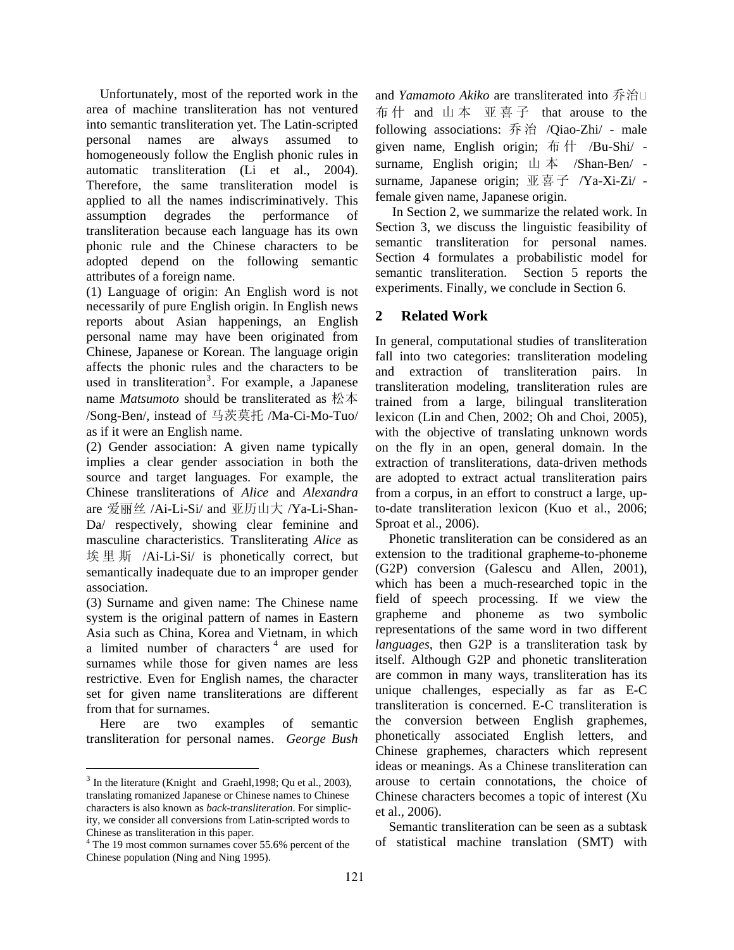Unfortunately, most of the reported work in the area of machine transliteration has not ventured into semantic transliteration yet. The Latin-scripted personal names are always assumed to homogeneously follow the English phonic rules in automatic transliteration (Li et al., 2004). Therefore, the same transliteration model is applied to all the names indiscriminatively. This assumption degrades the performance of transliteration because each language has its own phonic rule and the Chinese characters to be adopted depend on the following semantic attributes of a foreign name.

(1) Language of origin: An English word is not necessarily of pure English origin. In English news reports about Asian happenings, an English personal name may have been originated from Chinese, Japanese or Korean. The language origin affects the phonic rules and the characters to be used in transliteration<sup>3</sup>. For example, a Japanese name *Matsumoto* should be transliterated as 松本 /Song-Ben/, instead of 马茨莫托 /Ma-Ci-Mo-Tuo/ as if it were an English name.

(2) Gender association: A given name typically implies a clear gender association in both the source and target languages. For example, the Chinese transliterations of *Alice* and *Alexandra* are 爱丽丝 /Ai-Li-Si/ and 亚历山大 /Ya-Li-Shan-Da/ respectively, showing clear feminine and masculine characteristics. Transliterating *Alice* as 埃里斯 /Ai-Li-Si/ is phonetically correct, but semantically inadequate due to an improper gender association.

(3) Surname and given name: The Chinese name system is the original pattern of names in Eastern Asia such as China, Korea and Vietnam, in which a limited number of characters  $4$  are used for surnames while those for given names are less restrictive. Even for English names, the character set for given name transliterations are different from that for surnames.

Here are two examples of semantic transliteration for personal names. *George Bush* 

and *Yamamoto Akiko* are transliterated into 乔治 布 什 and 山本 亚喜子 that arouse to the following associations: 乔治 /Qiao-Zhi/ - male given name, English origin; 布 什 /Bu-Shi/ surname, English origin; 山本 /Shan-Ben/ surname, Japanese origin; 亚喜子 /Ya-Xi-Zi/ female given name, Japanese origin.

 In Section 2, we summarize the related work. In Section 3, we discuss the linguistic feasibility of semantic transliteration for personal names. Section 4 formulates a probabilistic model for semantic transliteration. Section 5 reports the experiments. Finally, we conclude in Section 6.

# **2 Related Work**

In general, computational studies of transliteration fall into two categories: transliteration modeling and extraction of transliteration pairs. In transliteration modeling, transliteration rules are trained from a large, bilingual transliteration lexicon (Lin and Chen, 2002; Oh and Choi, 2005), with the objective of translating unknown words on the fly in an open, general domain. In the extraction of transliterations, data-driven methods are adopted to extract actual transliteration pairs from a corpus, in an effort to construct a large, upto-date transliteration lexicon (Kuo et al., 2006; Sproat et al., 2006).

Phonetic transliteration can be considered as an extension to the traditional grapheme-to-phoneme (G2P) conversion (Galescu and Allen, 2001), which has been a much-researched topic in the field of speech processing. If we view the grapheme and phoneme as two symbolic representations of the same word in two different *languages*, then G2P is a transliteration task by itself. Although G2P and phonetic transliteration are common in many ways, transliteration has its unique challenges, especially as far as E-C transliteration is concerned. E-C transliteration is the conversion between English graphemes, phonetically associated English letters, and Chinese graphemes, characters which represent ideas or meanings. As a Chinese transliteration can arouse to certain connotations, the choice of Chinese characters becomes a topic of interest (Xu et al., 2006).

Semantic transliteration can be seen as a subtask of statistical machine translation (SMT) with

 $3$  In the literature (Knight and Graehl, 1998; Qu et al., 2003), translating romanized Japanese or Chinese names to Chinese characters is also known as *back-transliteration*. For simplicity, we consider all conversions from Latin-scripted words to Chinese as transliteration in this paper.

<sup>&</sup>lt;sup>4</sup> The 19 most common surnames cover 55.6% percent of the Chinese population (Ning and Ning 1995).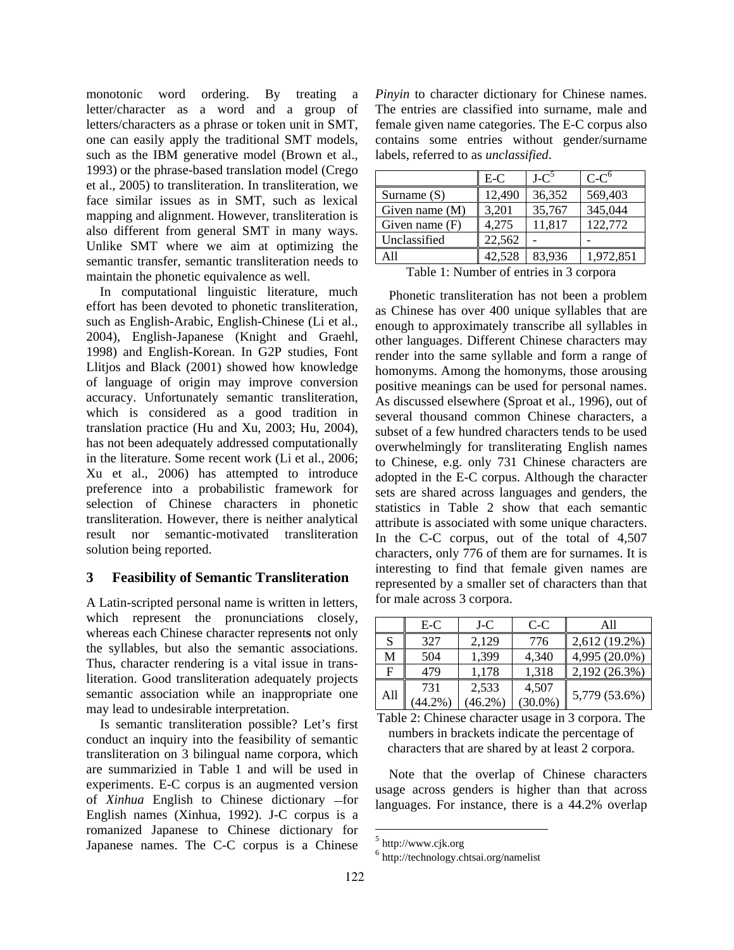monotonic word ordering. By treating a letter/character as a word and a group of letters/characters as a phrase or token unit in SMT, one can easily apply the traditional SMT models, such as the IBM generative model (Brown et al., 1993) or the phrase-based translation model (Crego et al., 2005) to transliteration. In transliteration, we face similar issues as in SMT, such as lexical mapping and alignment. However, transliteration is also different from general SMT in many ways. Unlike SMT where we aim at optimizing the semantic transfer, semantic transliteration needs to maintain the phonetic equivalence as well.

In computational linguistic literature, much effort has been devoted to phonetic transliteration, such as English-Arabic, English-Chinese (Li et al., 2004), English-Japanese (Knight and Graehl, 1998) and English-Korean. In G2P studies, Font Llitjos and Black (2001) showed how knowledge of language of origin may improve conversion accuracy. Unfortunately semantic transliteration, which is considered as a good tradition in translation practice (Hu and Xu, 2003; Hu, 2004), has not been adequately addressed computationally in the literature. Some recent work (Li et al., 2006; Xu et al., 2006) has attempted to introduce preference into a probabilistic framework for selection of Chinese characters in phonetic transliteration. However, there is neither analytical result nor semantic-motivated transliteration solution being reported.

# **3 Feasibility of Semantic Transliteration**

A Latin-scripted personal name is written in letters, which represent the pronunciations closely, whereas each Chinese character represent**s** not only the syllables, but also the semantic associations. Thus, character rendering is a vital issue in transliteration. Good transliteration adequately projects semantic association while an inappropriate one may lead to undesirable interpretation.

Is semantic transliteration possible? Let's first conduct an inquiry into the feasibility of semantic transliteration on 3 bilingual name corpora, which are summarizied in Table 1 and will be used in experiments. E-C corpus is an augmented version of *Xinhua* English to Chinese dictionary -for English names (Xinhua, 1992). J-C corpus is a romanized Japanese to Chinese dictionary for Japanese names. The C-C corpus is a Chinese

*Pinyin* to character dictionary for Chinese names. The entries are classified into surname, male and female given name categories. The E-C corpus also contains some entries without gender/surname labels, referred to as *unclassified*.

|                  | $E-C$  | LC <sup>5</sup> | $C-Co$    |
|------------------|--------|-----------------|-----------|
| Surname $(S)$    | 12,490 | 36,352          | 569,403   |
| Given name $(M)$ | 3,201  | 35,767          | 345,044   |
| Given name $(F)$ | 4,275  | 11,817          | 122,772   |
| Unclassified     | 22,562 |                 |           |
| A 11             | 42,528 | 83.936          | 1,972,851 |

Table 1: Number of entries in 3 corpora

Phonetic transliteration has not been a problem as Chinese has over 400 unique syllables that are enough to approximately transcribe all syllables in other languages. Different Chinese characters may render into the same syllable and form a range of homonyms. Among the homonyms, those arousing positive meanings can be used for personal names. As discussed elsewhere (Sproat et al., 1996), out of several thousand common Chinese characters, a subset of a few hundred characters tends to be used overwhelmingly for transliterating English names to Chinese, e.g. only 731 Chinese characters are adopted in the E-C corpus. Although the character sets are shared across languages and genders, the statistics in Table 2 show that each semantic attribute is associated with some unique characters. In the C-C corpus, out of the total of 4,507 characters, only 776 of them are for surnames. It is interesting to find that female given names are represented by a smaller set of characters than that for male across 3 corpora.

|     | E-C        | J-C        | C-C     | A11           |
|-----|------------|------------|---------|---------------|
| S   | 327        | 2,129      | 776     | 2,612 (19.2%) |
| M   | 504        | 1,399      | 4,340   | 4,995 (20.0%) |
| F   | 479        | 1.178      | 1,318   | 2,192 (26.3%) |
|     | 731        | 2,533      | 4,507   | 5,779 (53.6%) |
| All | $(44.2\%)$ | $(46.2\%)$ | (30.0%) |               |

Table 2: Chinese character usage in 3 corpora. The numbers in brackets indicate the percentage of characters that are shared by at least 2 corpora.

Note that the overlap of Chinese characters usage across genders is higher than that across languages. For instance, there is a 44.2% overlap

<sup>5</sup> http://www.cjk.org

<sup>6</sup> http://technology.chtsai.org/namelist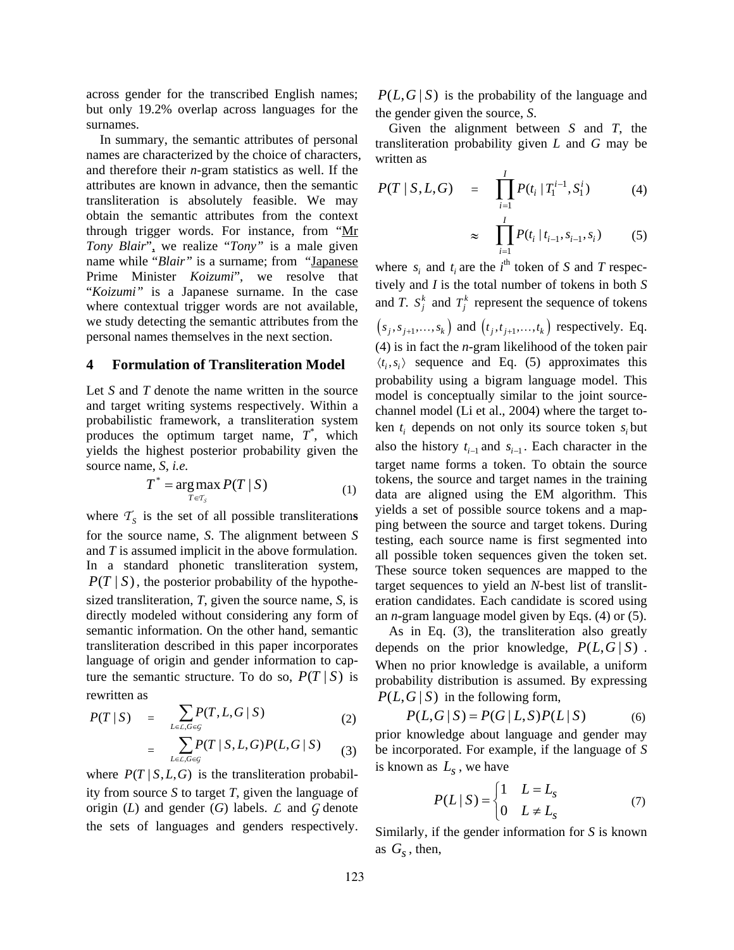across gender for the transcribed English names; but only 19.2% overlap across languages for the surnames.

In summary, the semantic attributes of personal names are characterized by the choice of characters, and therefore their *n*-gram statistics as well. If the attributes are known in advance, then the semantic transliteration is absolutely feasible. We may obtain the semantic attributes from the context through trigger words. For instance, from "Mr *Tony Blair*", we realize "*Tony"* is a male given name while "*Blair*" is a surname; from "Japanese Prime Minister *Koizumi*", we resolve that "*Koizumi"* is a Japanese surname. In the case where contextual trigger words are not available, we study detecting the semantic attributes from the personal names themselves in the next section.

## **4 Formulation of Transliteration Model**

Let *S* and *T* denote the name written in the source and target writing systems respectively. Within a probabilistic framework, a transliteration system produces the optimum target name,  $T^*$ , which yields the highest posterior probability given the source name, *S*, *i.e.* 

$$
T^* = \underset{T \in \mathcal{T}_S}{\arg \max} P(T \mid S) \tag{1}
$$

where  $T<sub>S</sub>$  is the set of all possible transliterations for the source name, *S*. The alignment between *S* and *T* is assumed implicit in the above formulation. In a standard phonetic transliteration system,  $P(T | S)$ , the posterior probability of the hypothesized transliteration, *T*, given the source name, *S*, is directly modeled without considering any form of semantic information. On the other hand, semantic transliteration described in this paper incorporates language of origin and gender information to capture the semantic structure. To do so,  $P(T | S)$  is rewritten as

$$
P(T \mid S) = \sum_{L \in \mathcal{L}, G \in \mathcal{G}} P(T, L, G \mid S) \tag{2}
$$

$$
= \sum_{L\in\mathcal{L},G\in\mathcal{G}} P(T \mid S,L,G) P(L,G \mid S) \qquad (3)
$$

where  $P(T | S, L, G)$  is the transliteration probability from source *S* to target *T*, given the language of origin (*L*) and gender (*G*) labels. *L* and *G* denote the sets of languages and genders respectively.

 $P(L, G | S)$  is the probability of the language and the gender given the source, *S*.

Given the alignment between *S* and *T*, the transliteration probability given *L* and *G* may be written as

$$
P(T | S, L, G) = \prod_{i=1}^{I} P(t_i | T_1^{i-1}, S_1^i)
$$
 (4)

$$
\approx \prod_{i=1}^{I} P(t_i \mid t_{i-1}, s_{i-1}, s_i) \tag{5}
$$

where  $s_i$  and  $t_i$  are the  $i^{\text{th}}$  token of *S* and *T* respectively and *I* is the total number of tokens in both *S* and *T*.  $S_j^k$  and  $T_j^k$  represent the sequence of tokens  $(s_j, s_{j+1}, \ldots, s_k)$  and  $(t_j, t_{j+1}, \ldots, t_k)$  respectively. Eq. (4) is in fact the *n*-gram likelihood of the token pair  $\langle t_i, s_i \rangle$  sequence and Eq. (5) approximates this probability using a bigram language model. This model is conceptually similar to the joint sourcechannel model (Li et al., 2004) where the target token  $t_i$  depends on not only its source token  $s_i$  but also the history  $t_{i-1}$  and  $s_{i-1}$ . Each character in the target name forms a token. To obtain the source tokens, the source and target names in the training data are aligned using the EM algorithm. This yields a set of possible source tokens and a mapping between the source and target tokens. During testing, each source name is first segmented into all possible token sequences given the token set. These source token sequences are mapped to the target sequences to yield an *N*-best list of transliteration candidates. Each candidate is scored using an *n*-gram language model given by Eqs. (4) or (5).

As in Eq. (3), the transliteration also greatly depends on the prior knowledge,  $P(L, G | S)$ . When no prior knowledge is available, a uniform probability distribution is assumed. By expressing  $P(L, G | S)$  in the following form,

$$
P(L, G | S) = P(G | L, S)P(L | S)
$$
 (6)

prior knowledge about language and gender may be incorporated. For example, if the language of *S*  is known as  $L<sub>s</sub>$ , we have

$$
P(L \mid S) = \begin{cases} 1 & L = L_s \\ 0 & L \neq L_s \end{cases} \tag{7}
$$

Similarly, if the gender information for *S* is known as  $G_s$ , then,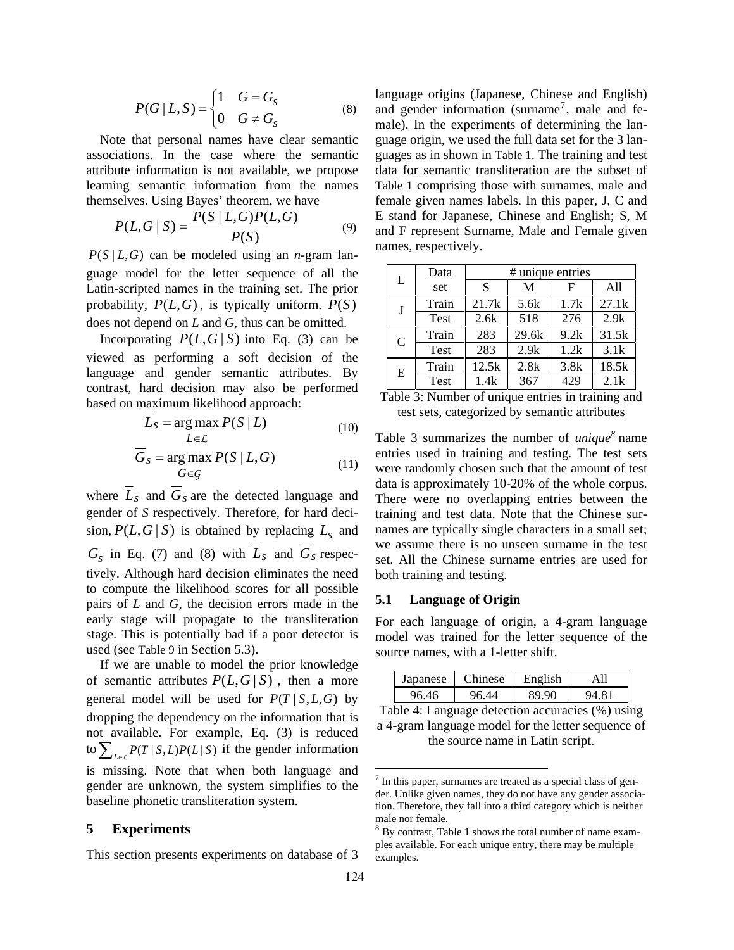$$
P(G | L, S) = \begin{cases} 1 & G = G_s \\ 0 & G \neq G_s \end{cases} \tag{8}
$$

Note that personal names have clear semantic associations. In the case where the semantic attribute information is not available, we propose learning semantic information from the names themselves. Using Bayes' theorem, we have

$$
P(L, G \mid S) = \frac{P(S \mid L, G)P(L, G)}{P(S)}
$$
(9)

 $P(S | L, G)$  can be modeled using an *n*-gram language model for the letter sequence of all the Latin-scripted names in the training set. The prior probability,  $P(L, G)$ , is typically uniform.  $P(S)$ does not depend on *L* and *G,* thus can be omitted.

Incorporating  $P(L, G | S)$  into Eq. (3) can be viewed as performing a soft decision of the language and gender semantic attributes. By contrast, hard decision may also be performed based on maximum likelihood approach:

$$
L_{S} = \underset{L \in \mathcal{L}}{\arg \max} P(S \mid L) \tag{10}
$$

$$
\overline{G}_S = \underset{G \in \mathcal{G}}{\text{arg max}} \ P(S \mid L, G) \tag{11}
$$

where  $\overline{L}_s$  and  $\overline{G}_s$  are the detected language and gender of *S* respectively. Therefore, for hard decision,  $P(L, G | S)$  is obtained by replacing  $L_s$  and  $G_s$  in Eq. (7) and (8) with  $\overline{L}_s$  and  $\overline{G}_s$  respectively. Although hard decision eliminates the need to compute the likelihood scores for all possible pairs of *L* and *G*, the decision errors made in the early stage will propagate to the transliteration stage. This is potentially bad if a poor detector is used (see Table 9 in Section 5.3).

If we are unable to model the prior knowledge of semantic attributes  $P(L, G | S)$ , then a more general model will be used for  $P(T | S, L, G)$  by dropping the dependency on the information that is not available. For example, Eq. (3) is reduced to  $\sum_{L \in \mathcal{L}} P(T | S, L) P(L | S)$  if the gender information is missing. Note that when both language and gender are unknown, the system simplifies to the baseline phonetic transliteration system.

### **5 Experiments**

This section presents experiments on database of 3

language origins (Japanese, Chinese and English) and gender information (surname<sup>7</sup>, male and female). In the experiments of determining the language origin, we used the full data set for the 3 languages as in shown in Table 1. The training and test data for semantic transliteration are the subset of Table 1 comprising those with surnames, male and female given names labels. In this paper, J, C and E stand for Japanese, Chinese and English; S, M and F represent Surname, Male and Female given names, respectively.

| L | Data  | # unique entries |       |      |       |  |  |
|---|-------|------------------|-------|------|-------|--|--|
|   | set   | S                | М     | F    | A11   |  |  |
| J | Train | 21.7k            | 5.6k  | 1.7k | 27.1k |  |  |
|   | Test  | 2.6k             | 518   | 276  | 2.9k  |  |  |
| C | Train | 283              | 29.6k | 9.2k | 31.5k |  |  |
|   | Test  | 283              | 2.9k  | 1.2k | 3.1k  |  |  |
| E | Train | 12.5k            | 2.8k  | 3.8k | 18.5k |  |  |
|   | Test  | 1.4k             | 367   | 429  | 2.1k  |  |  |

Table 3: Number of unique entries in training and test sets, categorized by semantic attributes

Table 3 summarizes the number of *unique<sup>8</sup>* name entries used in training and testing. The test sets were randomly chosen such that the amount of test data is approximately 10-20% of the whole corpus. There were no overlapping entries between the training and test data. Note that the Chinese surnames are typically single characters in a small set; we assume there is no unseen surname in the test set. All the Chinese surname entries are used for both training and testing.

## **5.1 Language of Origin**

For each language of origin, a 4-gram language model was trained for the letter sequence of the source names, with a 1-letter shift.

| <i>s</i> anese<br>ച | $m_{\text{image}}$ | Englich |  |
|---------------------|--------------------|---------|--|
|                     |                    |         |  |

Table 4: Language detection accuracies (%) using a 4-gram language model for the letter sequence of the source name in Latin script.

 $7$  In this paper, surnames are treated as a special class of gender. Unlike given names, they do not have any gender association. Therefore, they fall into a third category which is neither male nor female.

<sup>8</sup> By contrast, Table 1 shows the total number of name examples available. For each unique entry, there may be multiple examples.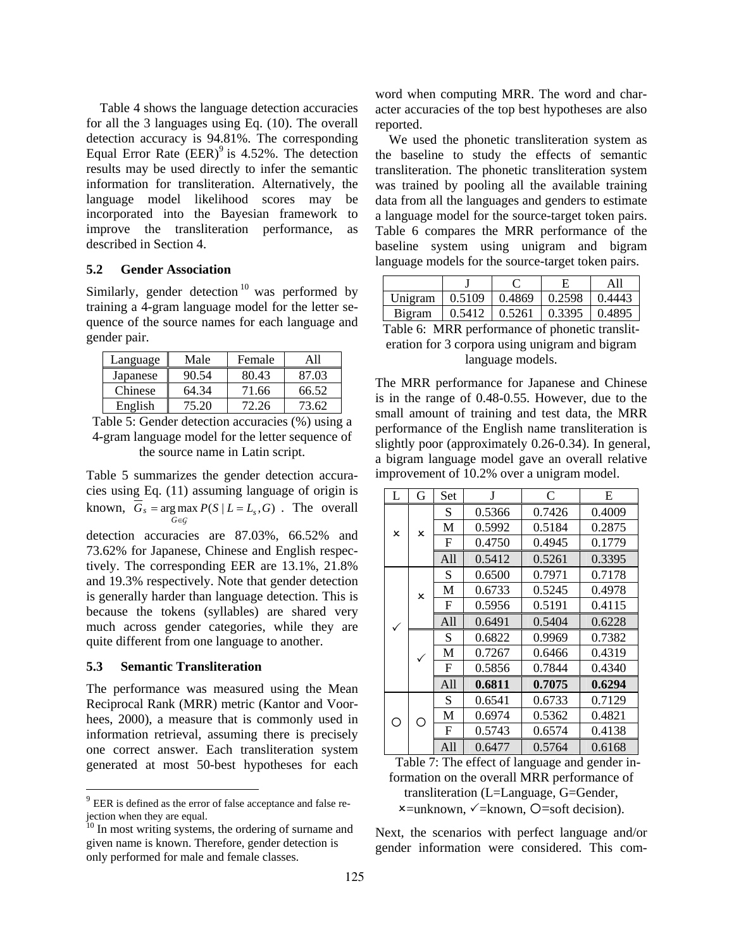Table 4 shows the language detection accuracies for all the 3 languages using Eq. (10). The overall detection accuracy is 94.81%. The corresponding Equal Error Rate  $(EER)^9$  is 4.52%. The detection results may be used directly to infer the semantic information for transliteration. Alternatively, the language model likelihood scores may be incorporated into the Bayesian framework to improve the transliteration performance, as described in Section 4.

#### **5.2 Gender Association**

Similarly, gender detection<sup>10</sup> was performed by training a 4-gram language model for the letter sequence of the source names for each language and gender pair.

| Language | Male  | Female |       |
|----------|-------|--------|-------|
| Japanese | 90.54 | 80.43  | 87.03 |
| Chinese  | 64.34 | 71.66  | 66.52 |
| English  | 75.20 | 72.26  | 73.62 |

Table 5: Gender detection accuracies (%) using a 4-gram language model for the letter sequence of the source name in Latin script.

Table 5 summarizes the gender detection accuracies using Eq. (11) assuming language of origin is known,  $G_s = \arg \max_{G \in \mathcal{G}} P(S | L = L_s, G)$ . The overall ∈ *G*

detection accuracies are 87.03%, 66.52% and 73.62% for Japanese, Chinese and English respectively. The corresponding EER are 13.1%, 21.8% and 19.3% respectively. Note that gender detection is generally harder than language detection. This is because the tokens (syllables) are shared very much across gender categories, while they are quite different from one language to another.

# **5.3 Semantic Transliteration**

The performance was measured using the Mean Reciprocal Rank (MRR) metric (Kantor and Voorhees, 2000), a measure that is commonly used in information retrieval, assuming there is precisely one correct answer. Each transliteration system generated at most 50-best hypotheses for each word when computing MRR. The word and character accuracies of the top best hypotheses are also reported.

We used the phonetic transliteration system as the baseline to study the effects of semantic transliteration. The phonetic transliteration system was trained by pooling all the available training data from all the languages and genders to estimate a language model for the source-target token pairs. Table 6 compares the MRR performance of the baseline system using unigram and bigram language models for the source-target token pairs.

| Unigram | $\mid 0.5109 \mid$ | $0.4869$ | 0.2598                         | 0.4443 |
|---------|--------------------|----------|--------------------------------|--------|
| Bigram  |                    |          | $0.5412 \pm 0.5261 \pm 0.3395$ | 0.4895 |

Table 6: MRR performance of phonetic transliteration for 3 corpora using unigram and bigram language models.

The MRR performance for Japanese and Chinese is in the range of 0.48-0.55. However, due to the small amount of training and test data, the MRR performance of the English name transliteration is slightly poor (approximately 0.26-0.34). In general, a bigram language model gave an overall relative improvement of 10.2% over a unigram model.

| L            | G            | Set | J      | C      | E      |
|--------------|--------------|-----|--------|--------|--------|
|              |              | S   | 0.5366 | 0.7426 | 0.4009 |
| $\mathsf{x}$ | $\mathsf{x}$ | M   | 0.5992 | 0.5184 | 0.2875 |
|              |              | F   | 0.4750 | 0.4945 | 0.1779 |
|              |              | A11 | 0.5412 | 0.5261 | 0.3395 |
|              |              | S   | 0.6500 | 0.7971 | 0.7178 |
|              | $\mathsf{x}$ | M   | 0.6733 | 0.5245 | 0.4978 |
|              |              | F   | 0.5956 | 0.5191 | 0.4115 |
|              |              | A11 | 0.6491 | 0.5404 | 0.6228 |
|              |              | S   | 0.6822 | 0.9969 | 0.7382 |
|              |              | M   | 0.7267 | 0.6466 | 0.4319 |
|              |              | F   | 0.5856 | 0.7844 | 0.4340 |
|              |              | A11 | 0.6811 | 0.7075 | 0.6294 |
|              |              | S   | 0.6541 | 0.6733 | 0.7129 |
| ∩            | ∩            | M   | 0.6974 | 0.5362 | 0.4821 |
|              |              | F   | 0.5743 | 0.6574 | 0.4138 |
|              |              | A11 | 0.6477 | 0.5764 | 0.6168 |

Table 7: The effect of language and gender information on the overall MRR performance of transliteration (L=Language, G=Gender,  $x =$ unknown,  $\checkmark$  = known,  $Q$  = soft decision).

Next, the scenarios with perfect language and/or gender information were considered. This com-

<sup>9</sup> EER is defined as the error of false acceptance and false rejection when they are equal.

<sup>&</sup>lt;sup>10</sup> In most writing systems, the ordering of surname and given name is known. Therefore, gender detection is only performed for male and female classes.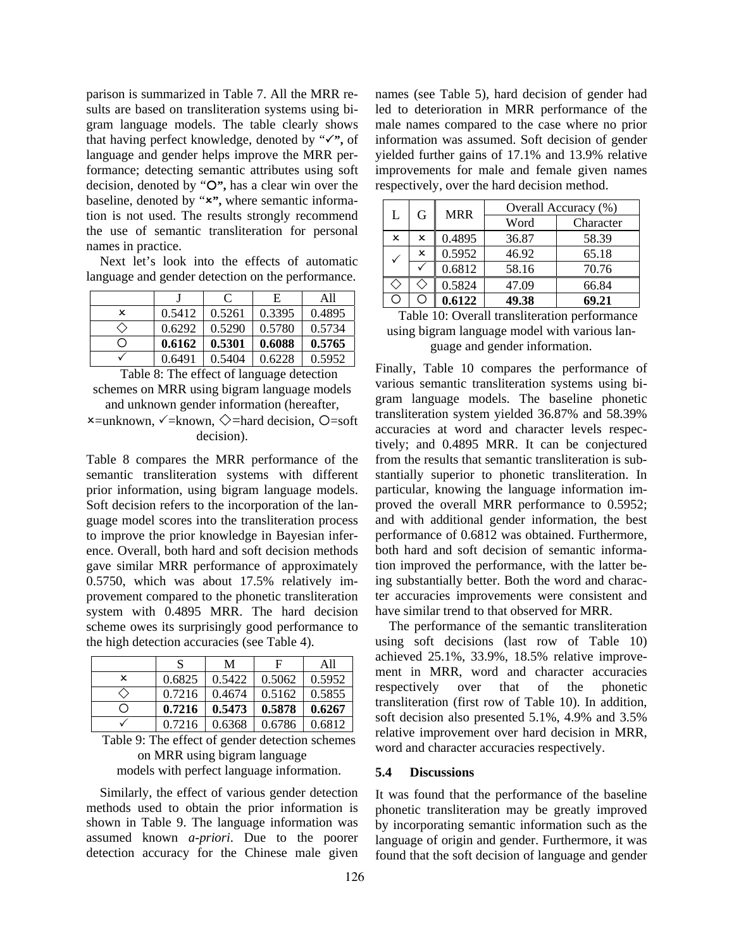parison is summarized in Table 7. All the MRR results are based on transliteration systems using bigram language models. The table clearly shows that having perfect knowledge, denoted by " $\checkmark$ ", of language and gender helps improve the MRR performance; detecting semantic attributes using soft decision, denoted by "O", has a clear win over the baseline, denoted by "x", where semantic information is not used. The results strongly recommend the use of semantic transliteration for personal names in practice.

Next let's look into the effects of automatic language and gender detection on the performance.

|     |        | C      | Е      | A11    |
|-----|--------|--------|--------|--------|
| ×   | 0.5412 | 0.5261 | 0.3395 | 0.4895 |
| 〈 〉 | 0.6292 | 0.5290 | 0.5780 | 0.5734 |
| ()  | 0.6162 | 0.5301 | 0.6088 | 0.5765 |
|     | 0.6491 | 0.5404 | 0.6228 | 0.5952 |

Table 8: The effect of language detection schemes on MRR using bigram language models and unknown gender information (hereafter,

 $x =$ unknown,  $\angle$ =known,  $\Diamond$ =hard decision, O=soft decision).

Table 8 compares the MRR performance of the semantic transliteration systems with different prior information, using bigram language models. Soft decision refers to the incorporation of the language model scores into the transliteration process to improve the prior knowledge in Bayesian inference. Overall, both hard and soft decision methods gave similar MRR performance of approximately 0.5750, which was about 17.5% relatively improvement compared to the phonetic transliteration system with 0.4895 MRR. The hard decision scheme owes its surprisingly good performance to the high detection accuracies (see Table 4).

|     | S      | М      | F      | A11    |
|-----|--------|--------|--------|--------|
| ×   | 0.6825 | 0.5422 | 0.5062 | 0.5952 |
| 〈 〉 | 0.7216 | 0.4674 | 0.5162 | 0.5855 |
| ∩   | 0.7216 | 0.5473 | 0.5878 | 0.6267 |
|     | 0.7216 | 0.6368 | 0.6786 | 0.6812 |

Table 9: The effect of gender detection schemes on MRR using bigram language models with perfect language information.

Similarly, the effect of various gender detection methods used to obtain the prior information is shown in Table 9. The language information was assumed known *a-priori*. Due to the poorer detection accuracy for the Chinese male given names (see Table 5), hard decision of gender had led to deterioration in MRR performance of the male names compared to the case where no prior information was assumed. Soft decision of gender yielded further gains of 17.1% and 13.9% relative improvements for male and female given names respectively, over the hard decision method.

| G<br>L | <b>MRR</b> | Overall Accuracy (%) |       |           |
|--------|------------|----------------------|-------|-----------|
|        |            |                      | Word  | Character |
| x      | ×          | 0.4895               | 36.87 | 58.39     |
|        | ×          | 0.5952               | 46.92 | 65.18     |
|        |            | 0.6812               | 58.16 | 70.76     |
|        |            | 0.5824               | 47.09 | 66.84     |
|        |            | 0.6122               | 49.38 | 69.21     |

Table 10: Overall transliteration performance using bigram language model with various language and gender information.

Finally, Table 10 compares the performance of various semantic transliteration systems using bigram language models. The baseline phonetic transliteration system yielded 36.87% and 58.39% accuracies at word and character levels respectively; and 0.4895 MRR. It can be conjectured from the results that semantic transliteration is substantially superior to phonetic transliteration. In particular, knowing the language information improved the overall MRR performance to 0.5952; and with additional gender information, the best performance of 0.6812 was obtained. Furthermore, both hard and soft decision of semantic information improved the performance, with the latter being substantially better. Both the word and character accuracies improvements were consistent and have similar trend to that observed for MRR.

The performance of the semantic transliteration using soft decisions (last row of Table 10) achieved 25.1%, 33.9%, 18.5% relative improvement in MRR, word and character accuracies respectively over that of the phonetic transliteration (first row of Table 10). In addition, soft decision also presented 5.1%, 4.9% and 3.5% relative improvement over hard decision in MRR, word and character accuracies respectively.

### **5.4 Discussions**

It was found that the performance of the baseline phonetic transliteration may be greatly improved by incorporating semantic information such as the language of origin and gender. Furthermore, it was found that the soft decision of language and gender